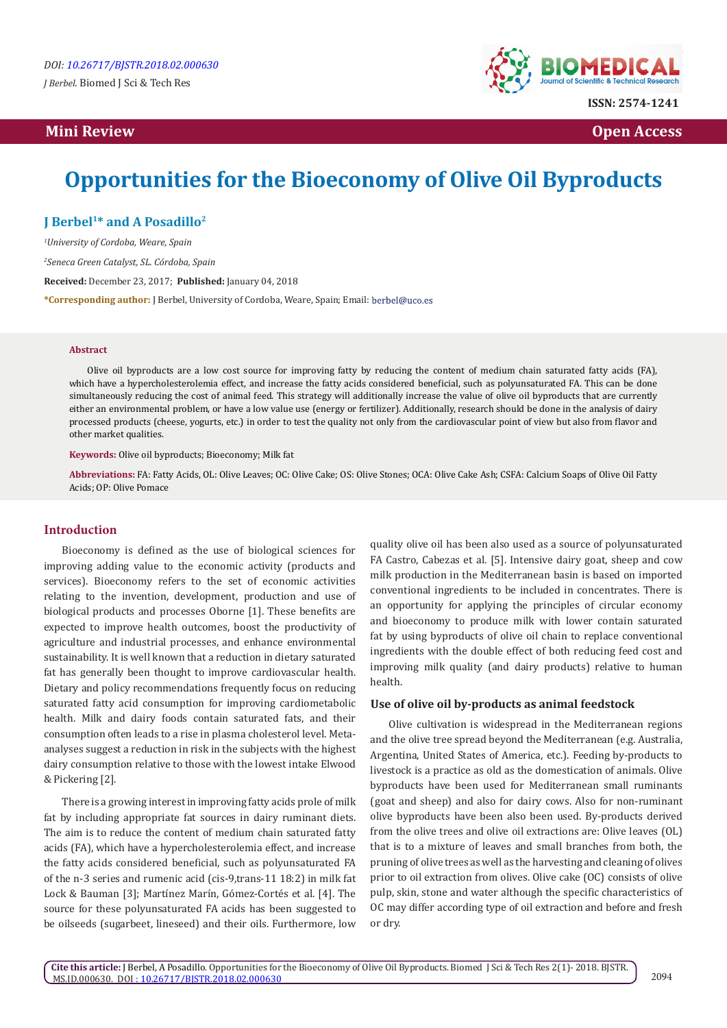# **Mini Review Open Access**



# **Opportunities for the Bioeconomy of Olive Oil Byproducts**

**J Berbel1\* and A Posadillo2**

*1 University of Cordoba, Weare, Spain*

*2 Seneca Green Catalyst, SL. Córdoba, Spain*

**Received:** December 23, 2017; **Published:** January 04, 2018

**\*Corresponding author:** J Berbel, University of Cordoba, Weare, Spain; Email:

#### **Abstract**

Olive oil byproducts are a low cost source for improving fatty by reducing the content of medium chain saturated fatty acids (FA), which have a hypercholesterolemia effect, and increase the fatty acids considered beneficial, such as polyunsaturated FA. This can be done simultaneously reducing the cost of animal feed. This strategy will additionally increase the value of olive oil byproducts that are currently either an environmental problem, or have a low value use (energy or fertilizer). Additionally, research should be done in the analysis of dairy processed products (cheese, yogurts, etc.) in order to test the quality not only from the cardiovascular point of view but also from flavor and other market qualities.

**Keywords:** Olive oil byproducts; Bioeconomy; Milk fat

**Abbreviations:** FA: Fatty Acids, OL: Olive Leaves; OC: Olive Cake; OS: Olive Stones; OCA: Olive Cake Ash; CSFA: Calcium Soaps of Olive Oil Fatty Acids; OP: Olive Pomace

# **Introduction**

Bioeconomy is defined as the use of biological sciences for improving adding value to the economic activity (products and services). Bioeconomy refers to the set of economic activities relating to the invention, development, production and use of biological products and processes Oborne [1]. These benefits are expected to improve health outcomes, boost the productivity of agriculture and industrial processes, and enhance environmental sustainability. It is well known that a reduction in dietary saturated fat has generally been thought to improve cardiovascular health. Dietary and policy recommendations frequently focus on reducing saturated fatty acid consumption for improving cardiometabolic health. Milk and dairy foods contain saturated fats, and their consumption often leads to a rise in plasma cholesterol level. Metaanalyses suggest a reduction in risk in the subjects with the highest dairy consumption relative to those with the lowest intake Elwood & Pickering [2].

There is a growing interest in improving fatty acids prole of milk fat by including appropriate fat sources in dairy ruminant diets. The aim is to reduce the content of medium chain saturated fatty acids (FA), which have a hypercholesterolemia effect, and increase the fatty acids considered beneficial, such as polyunsaturated FA of the n-3 series and rumenic acid (cis-9,trans-11 18:2) in milk fat Lock & Bauman [3]; Martínez Marín, Gómez-Cortés et al. [4]. The source for these polyunsaturated FA acids has been suggested to be oilseeds (sugarbeet, lineseed) and their oils. Furthermore, low

quality olive oil has been also used as a source of polyunsaturated FA Castro, Cabezas et al. [5]. Intensive dairy goat, sheep and cow milk production in the Mediterranean basin is based on imported conventional ingredients to be included in concentrates. There is an opportunity for applying the principles of circular economy and bioeconomy to produce milk with lower contain saturated fat by using byproducts of olive oil chain to replace conventional ingredients with the double effect of both reducing feed cost and improving milk quality (and dairy products) relative to human health.

#### **Use of olive oil by-products as animal feedstock**

Olive cultivation is widespread in the Mediterranean regions and the olive tree spread beyond the Mediterranean (e.g. Australia, Argentina, United States of America, etc.). Feeding by-products to livestock is a practice as old as the domestication of animals. Olive byproducts have been used for Mediterranean small ruminants (goat and sheep) and also for dairy cows. Also for non-ruminant olive byproducts have been also been used. By-products derived from the olive trees and olive oil extractions are: Olive leaves (OL) that is to a mixture of leaves and small branches from both, the pruning of olive trees as well as the harvesting and cleaning of olives prior to oil extraction from olives. Olive cake (OC) consists of olive pulp, skin, stone and water although the specific characteristics of OC may differ according type of oil extraction and before and fresh or dry.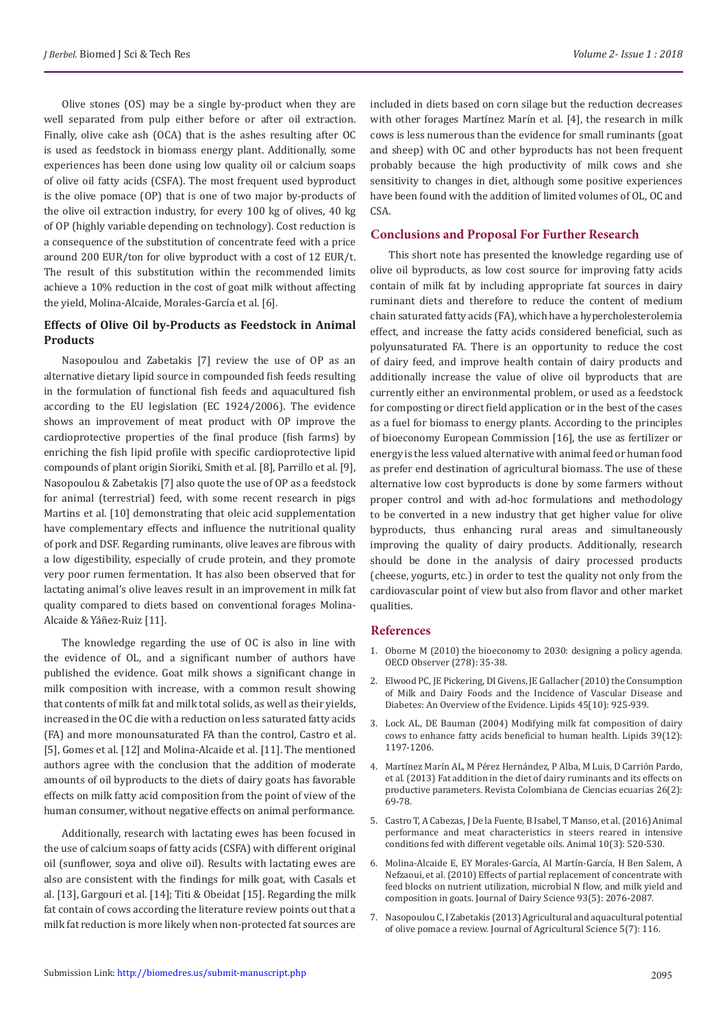Olive stones (OS) may be a single by-product when they are well separated from pulp either before or after oil extraction. Finally, olive cake ash (OCA) that is the ashes resulting after OC is used as feedstock in biomass energy plant. Additionally, some experiences has been done using low quality oil or calcium soaps of olive oil fatty acids (CSFA). The most frequent used byproduct is the olive pomace (OP) that is one of two major by-products of the olive oil extraction industry, for every 100 kg of olives, 40 kg of OP (highly variable depending on technology). Cost reduction is a consequence of the substitution of concentrate feed with a price around 200 EUR/ton for olive byproduct with a cost of 12 EUR/t. The result of this substitution within the recommended limits achieve a 10% reduction in the cost of goat milk without affecting the yield, Molina-Alcaide, Morales-García et al. [6].

# **Effects of Olive Oil by-Products as Feedstock in Animal Products**

Nasopoulou and Zabetakis [7] review the use of OP as an alternative dietary lipid source in compounded fish feeds resulting in the formulation of functional fish feeds and aquacultured fish according to the EU legislation (EC 1924/2006). The evidence shows an improvement of meat product with OP improve the cardioprotective properties of the final produce (fish farms) by enriching the fish lipid profile with specific cardioprotective lipid compounds of plant origin Sioriki, Smith et al. [8], Parrillo et al. [9], Nasopoulou & Zabetakis [7] also quote the use of OP as a feedstock for animal (terrestrial) feed, with some recent research in pigs Martins et al. [10] demonstrating that oleic acid supplementation have complementary effects and influence the nutritional quality of pork and DSF. Regarding ruminants, olive leaves are fibrous with a low digestibility, especially of crude protein, and they promote very poor rumen fermentation. It has also been observed that for lactating animal's olive leaves result in an improvement in milk fat quality compared to diets based on conventional forages Molina-Alcaide & Yáñez-Ruiz [11].

The knowledge regarding the use of OC is also in line with the evidence of OL, and a significant number of authors have published the evidence. Goat milk shows a significant change in milk composition with increase, with a common result showing that contents of milk fat and milk total solids, as well as their yields, increased in the OC die with a reduction on less saturated fatty acids (FA) and more monounsaturated FA than the control, Castro et al. [5], Gomes et al. [12] and Molina-Alcaide et al. [11]. The mentioned authors agree with the conclusion that the addition of moderate amounts of oil byproducts to the diets of dairy goats has favorable effects on milk fatty acid composition from the point of view of the human consumer, without negative effects on animal performance.

Additionally, research with lactating ewes has been focused in the use of calcium soaps of fatty acids (CSFA) with different original oil (sunflower, soya and olive oil). Results with lactating ewes are also are consistent with the findings for milk goat, with Casals et al. [13], Gargouri et al. [14]; Titi & Obeidat [15]. Regarding the milk fat contain of cows according the literature review points out that a milk fat reduction is more likely when non-protected fat sources are

included in diets based on corn silage but the reduction decreases with other forages Martínez Marín et al. [4], the research in milk cows is less numerous than the evidence for small ruminants (goat and sheep) with OC and other byproducts has not been frequent probably because the high productivity of milk cows and she sensitivity to changes in diet, although some positive experiences have been found with the addition of limited volumes of OL, OC and CSA.

### **Conclusions and Proposal For Further Research**

This short note has presented the knowledge regarding use of olive oil byproducts, as low cost source for improving fatty acids contain of milk fat by including appropriate fat sources in dairy ruminant diets and therefore to reduce the content of medium chain saturated fatty acids (FA), which have a hypercholesterolemia effect, and increase the fatty acids considered beneficial, such as polyunsaturated FA. There is an opportunity to reduce the cost of dairy feed, and improve health contain of dairy products and additionally increase the value of olive oil byproducts that are currently either an environmental problem, or used as a feedstock for composting or direct field application or in the best of the cases as a fuel for biomass to energy plants. According to the principles of bioeconomy European Commission [16], the use as fertilizer or energy is the less valued alternative with animal feed or human food as prefer end destination of agricultural biomass. The use of these alternative low cost byproducts is done by some farmers without proper control and with ad-hoc formulations and methodology to be converted in a new industry that get higher value for olive byproducts, thus enhancing rural areas and simultaneously improving the quality of dairy products. Additionally, research should be done in the analysis of dairy processed products (cheese, yogurts, etc.) in order to test the quality not only from the cardiovascular point of view but also from flavor and other market qualities.

#### **References**

- 1. [Oborne M \(2010\) the bioeconomy to 2030: designing a policy agenda.](http://www.oecd.org/futures/long-termtechnologicalsocietalchallenges/thebioeconomyto2030designingapolicyagenda.htm) [OECD Observer \(278\): 35-38.](http://www.oecd.org/futures/long-termtechnologicalsocietalchallenges/thebioeconomyto2030designingapolicyagenda.htm)
- 2. [Elwood PC, JE Pickering, DI Givens, JE Gallacher \(2010\) the Consumption](https://www.ncbi.nlm.nih.gov/pmc/articles/PMC2950929/) [of Milk and Dairy Foods and the Incidence of Vascular Disease and](https://www.ncbi.nlm.nih.gov/pmc/articles/PMC2950929/) [Diabetes: An Overview of the Evidence. Lipids 45\(10\): 925-939.](https://www.ncbi.nlm.nih.gov/pmc/articles/PMC2950929/)
- 3. [Lock AL, DE Bauman \(2004\) Modifying milk fat composition of dairy](https://www.ncbi.nlm.nih.gov/pubmed/15736916) [cows to enhance fatty acids beneficial to human health. Lipids 39\(12\):](https://www.ncbi.nlm.nih.gov/pubmed/15736916) [1197-1206.](https://www.ncbi.nlm.nih.gov/pubmed/15736916)
- 4. [Martínez Marín AL, M Pérez Hernández, P Alba, M Luis, D Carrión Pardo,](http://www.scielo.org.co/scielo.php?script=sci_arttext&pid=S0120-06902013000200002) [et al. \(2013\) Fat addition in the diet of dairy ruminants and its effects on](http://www.scielo.org.co/scielo.php?script=sci_arttext&pid=S0120-06902013000200002) [productive parameters. Revista Colombiana de Ciencias ecuarias 26\(2\):](http://www.scielo.org.co/scielo.php?script=sci_arttext&pid=S0120-06902013000200002) [69-78.](http://www.scielo.org.co/scielo.php?script=sci_arttext&pid=S0120-06902013000200002)
- 5. [Castro T, A Cabezas, J De la Fuente, B Isabel, T Manso, et al. \(2016\) Animal](https://www.ncbi.nlm.nih.gov/pubmed/26585286) [performance and meat characteristics in steers reared in intensive](https://www.ncbi.nlm.nih.gov/pubmed/26585286) [conditions fed with different vegetable oils. Animal 10\(3\): 520-530.](https://www.ncbi.nlm.nih.gov/pubmed/26585286)
- 6. [Molina-Alcaide E, EY Morales-García, AI Martín-García, H Ben Salem, A](https://www.ncbi.nlm.nih.gov/pubmed/20412923) [Nefzaoui, et al. \(2010\) Effects of partial replacement of concentrate with](https://www.ncbi.nlm.nih.gov/pubmed/20412923) [feed blocks on nutrient utilization, microbial N flow, and milk yield and](https://www.ncbi.nlm.nih.gov/pubmed/20412923) [composition in goats. Journal of Dairy Science 93\(5\): 2076-2087.](https://www.ncbi.nlm.nih.gov/pubmed/20412923)
- 7. [Nasopoulou C, I Zabetakis \(2013\) Agricultural and aquacultural potential](http://www.ccsenet.org/journal/index.php/jas/article/view/26875) [of olive pomace a review. Journal of Agricultural Science 5\(7\): 116.](http://www.ccsenet.org/journal/index.php/jas/article/view/26875)